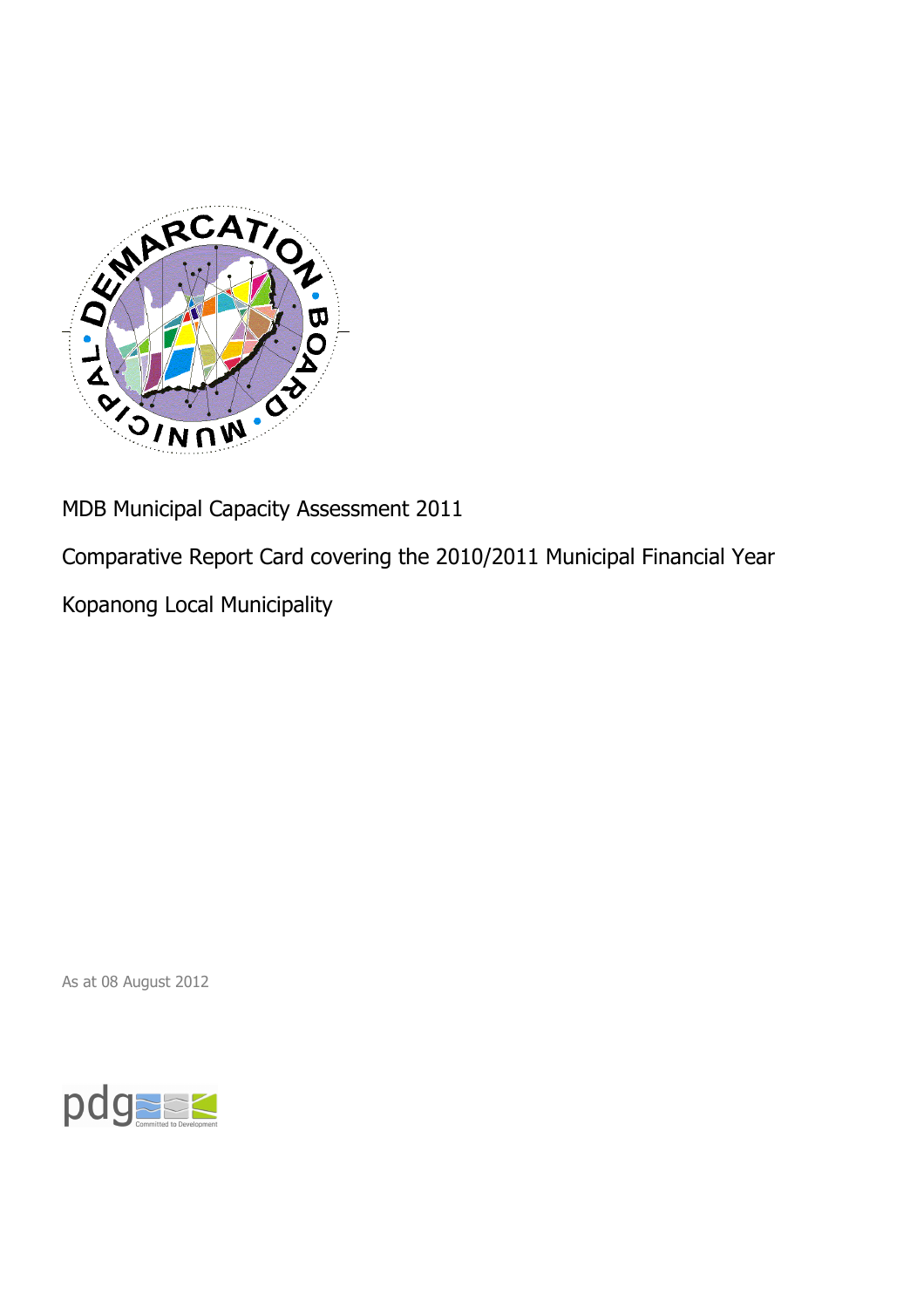

MDB Municipal Capacity Assessment 2011

Comparative Report Card covering the 2010/2011 Municipal Financial Year

Kopanong Local Municipality

As at 08 August 2012

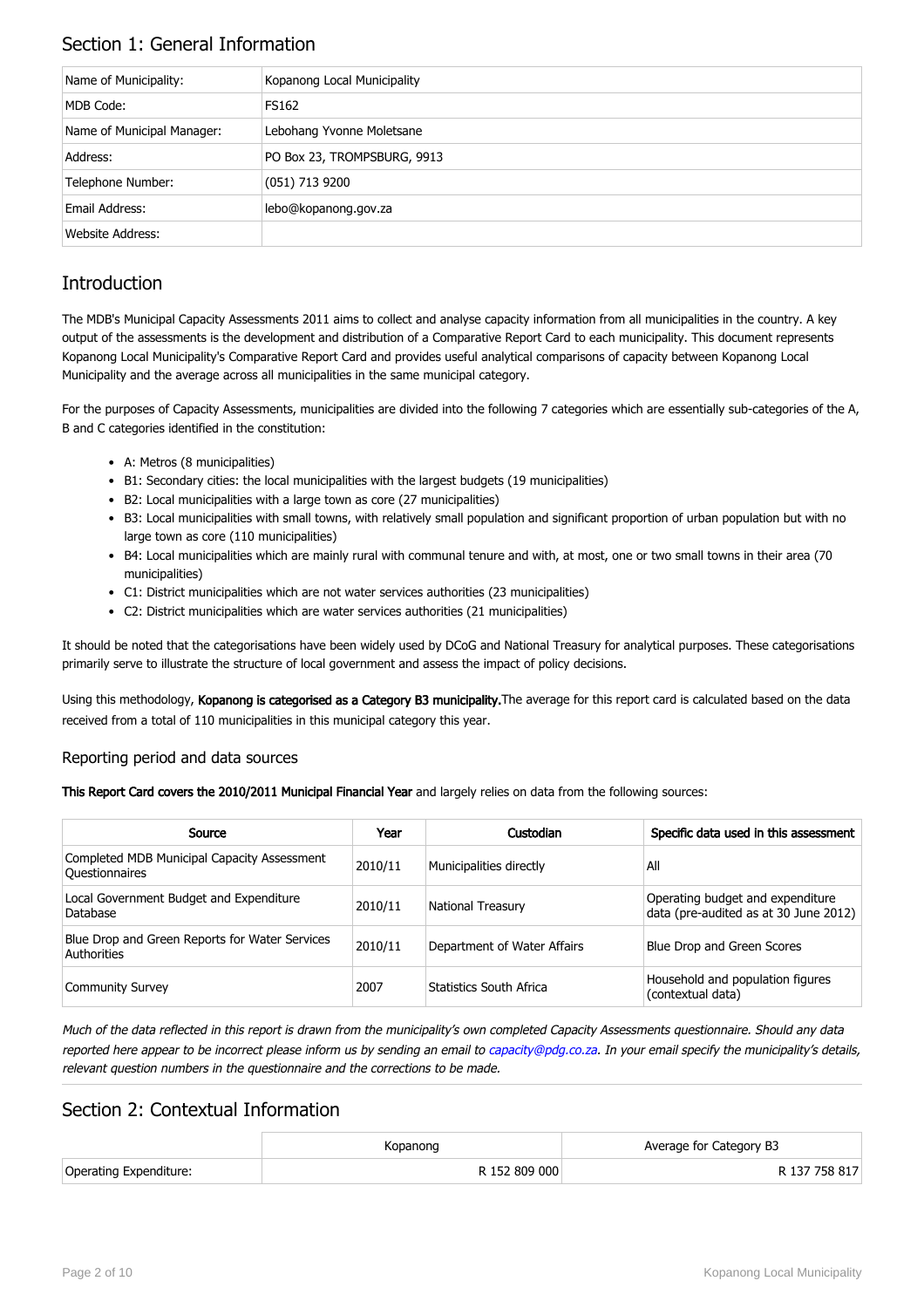### Section 1: General Information

| Name of Municipality:      | Kopanong Local Municipality |
|----------------------------|-----------------------------|
| MDB Code:                  | FS162                       |
| Name of Municipal Manager: | Lebohang Yvonne Moletsane   |
| Address:                   | PO Box 23, TROMPSBURG, 9913 |
| Telephone Number:          | $(051)$ 713 9200            |
| Email Address:             | lebo@kopanong.gov.za        |
| Website Address:           |                             |

### **Introduction**

The MDB's Municipal Capacity Assessments 2011 aims to collect and analyse capacity information from all municipalities in the country. A key output of the assessments is the development and distribution of a Comparative Report Card to each municipality. This document represents Kopanong Local Municipality's Comparative Report Card and provides useful analytical comparisons of capacity between Kopanong Local Municipality and the average across all municipalities in the same municipal category.

For the purposes of Capacity Assessments, municipalities are divided into the following 7 categories which are essentially sub-categories of the A, B and C categories identified in the constitution:

- A: Metros (8 municipalities)
- B1: Secondary cities: the local municipalities with the largest budgets (19 municipalities)
- B2: Local municipalities with a large town as core (27 municipalities)
- B3: Local municipalities with small towns, with relatively small population and significant proportion of urban population but with no large town as core (110 municipalities)
- B4: Local municipalities which are mainly rural with communal tenure and with, at most, one or two small towns in their area (70 municipalities)
- C1: District municipalities which are not water services authorities (23 municipalities)
- C2: District municipalities which are water services authorities (21 municipalities)

It should be noted that the categorisations have been widely used by DCoG and National Treasury for analytical purposes. These categorisations primarily serve to illustrate the structure of local government and assess the impact of policy decisions.

Using this methodology, Kopanong is categorised as a Category B3 municipality. The average for this report card is calculated based on the data received from a total of 110 municipalities in this municipal category this year.

#### Reporting period and data sources

This Report Card covers the 2010/2011 Municipal Financial Year and largely relies on data from the following sources:

| Source                                                               | Year    | Custodian                   | Specific data used in this assessment                                     |
|----------------------------------------------------------------------|---------|-----------------------------|---------------------------------------------------------------------------|
| Completed MDB Municipal Capacity Assessment<br><b>Ouestionnaires</b> | 2010/11 | Municipalities directly     | All                                                                       |
| Local Government Budget and Expenditure<br>Database                  | 2010/11 | <b>National Treasury</b>    | Operating budget and expenditure<br>data (pre-audited as at 30 June 2012) |
| Blue Drop and Green Reports for Water Services<br>Authorities        | 2010/11 | Department of Water Affairs | Blue Drop and Green Scores                                                |
| <b>Community Survey</b>                                              | 2007    | Statistics South Africa     | Household and population figures<br>(contextual data)                     |

Much of the data reflected in this report is drawn from the municipality's own completed Capacity Assessments questionnaire. Should any data reported here appear to be incorrect please inform us by sending an email to [capacity@pdg.co.za](mailto:capacity@pdg.co.za). In your email specify the municipality's details, relevant question numbers in the questionnaire and the corrections to be made.

### Section 2: Contextual Information

|                        | Kopanong      | Average for Category B3 |
|------------------------|---------------|-------------------------|
| Operating Expenditure: | R 152 809 000 | R 137 758 817           |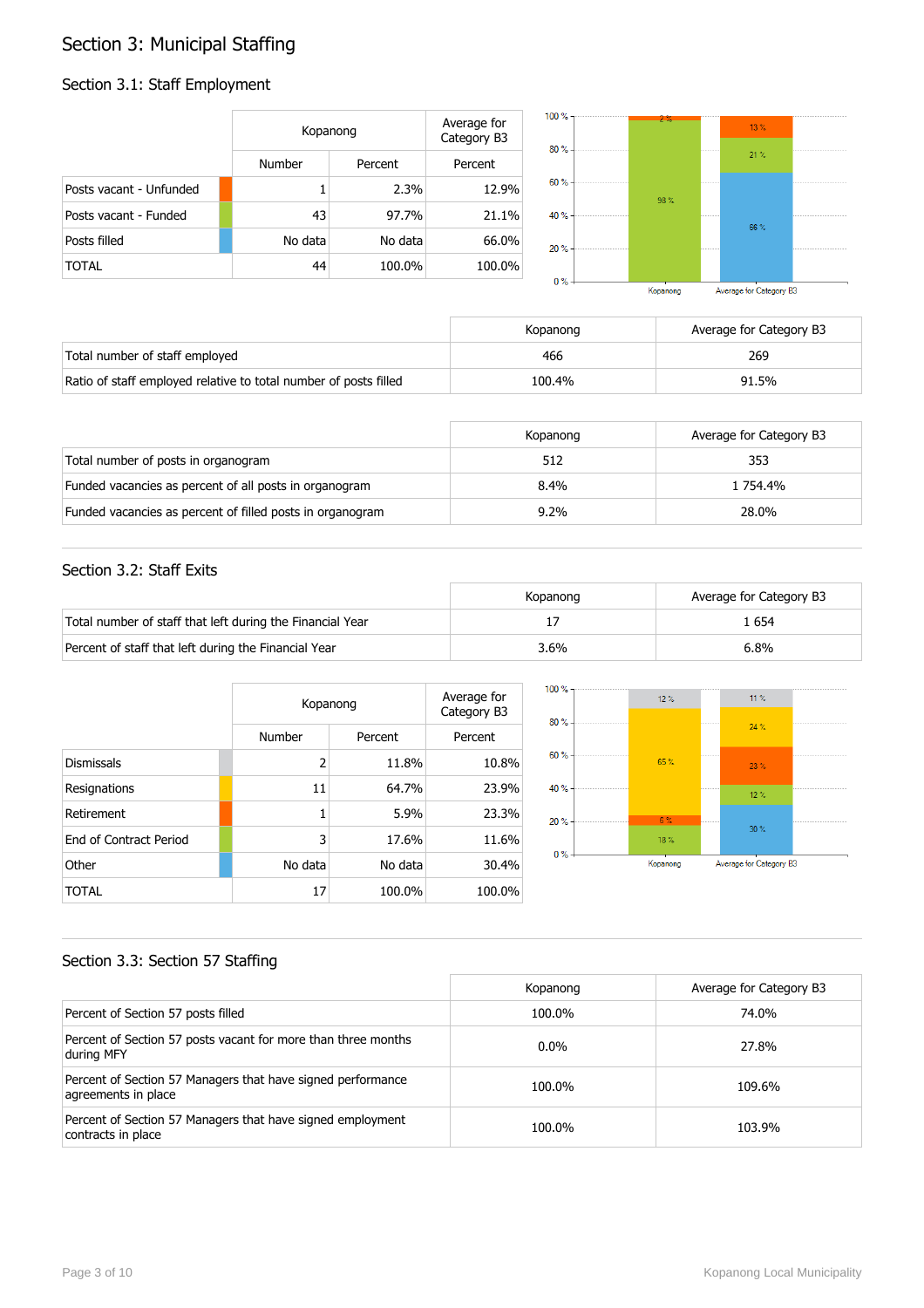## Section 3: Municipal Staffing

### Section 3.1: Staff Employment

|                         | Kopanong      |         | Average for<br>Category B3 | $100 \%$ -<br>$80% -$ | $2\%$ | 13.% |  |
|-------------------------|---------------|---------|----------------------------|-----------------------|-------|------|--|
|                         | <b>Number</b> | Percent | Percent                    |                       |       | 21%  |  |
| Posts vacant - Unfunded |               | 2.3%    | 12.9%                      | $60% -$               | 98%   |      |  |
| Posts vacant - Funded   | 43            | 97.7%   | 21.1%                      | 40 % -                |       | 66%  |  |
| Posts filled            | No data       | No data | 66.0%                      | $20% -$               |       |      |  |
| <b>TOTAL</b>            | 44            | 100.0%  | 100.0%                     | $0% -$                |       |      |  |

|       |                                 | Kopanong |             | Average for Category B3 |  |
|-------|---------------------------------|----------|-------------|-------------------------|--|
| $0\%$ |                                 |          |             |                         |  |
| 20%   |                                 |          | ----------- |                         |  |
| 40 %  | ------------------------------- |          |             | 66%                     |  |
| 60 %  |                                 | 98%      |             |                         |  |
|       |                                 |          |             | 71 Y.                   |  |

|                                                                  | Kopanong | Average for Category B3 |
|------------------------------------------------------------------|----------|-------------------------|
| Total number of staff employed                                   | 466      | 269                     |
| Ratio of staff employed relative to total number of posts filled | 100.4%   | 91.5%                   |

|                                                           | Kopanong | Average for Category B3 |
|-----------------------------------------------------------|----------|-------------------------|
| Total number of posts in organogram                       | 512      | 353                     |
| Funded vacancies as percent of all posts in organogram    | $8.4\%$  | 1 754.4%                |
| Funded vacancies as percent of filled posts in organogram | $9.2\%$  | 28.0%                   |

### Section 3.2: Staff Exits

|                                                           | Kopanong | Average for Category B3 |
|-----------------------------------------------------------|----------|-------------------------|
| Total number of staff that left during the Financial Year |          | . 654                   |
| Percent of staff that left during the Financial Year      | 3.6%     | 6.8%                    |

|                        |                | Kopanong |         |  |
|------------------------|----------------|----------|---------|--|
|                        | Number         | Percent  | Percent |  |
| <b>Dismissals</b>      | $\overline{2}$ | 11.8%    | 10.8%   |  |
| Resignations           | 11             | 64.7%    | 23.9%   |  |
| Retirement             | 1              | 5.9%     | 23.3%   |  |
| End of Contract Period | 3              | 17.6%    | 11.6%   |  |
| Other                  | No data        | No data  | 30.4%   |  |
| TOTAL                  | 17             | 100.0%   | 100.0%  |  |



### Section 3.3: Section 57 Staffing

|                                                                                    | Kopanong | Average for Category B3 |
|------------------------------------------------------------------------------------|----------|-------------------------|
| Percent of Section 57 posts filled                                                 | 100.0%   | 74.0%                   |
| Percent of Section 57 posts vacant for more than three months<br>during MFY        | $0.0\%$  | 27.8%                   |
| Percent of Section 57 Managers that have signed performance<br>agreements in place | 100.0%   | 109.6%                  |
| Percent of Section 57 Managers that have signed employment<br>contracts in place   | 100.0%   | 103.9%                  |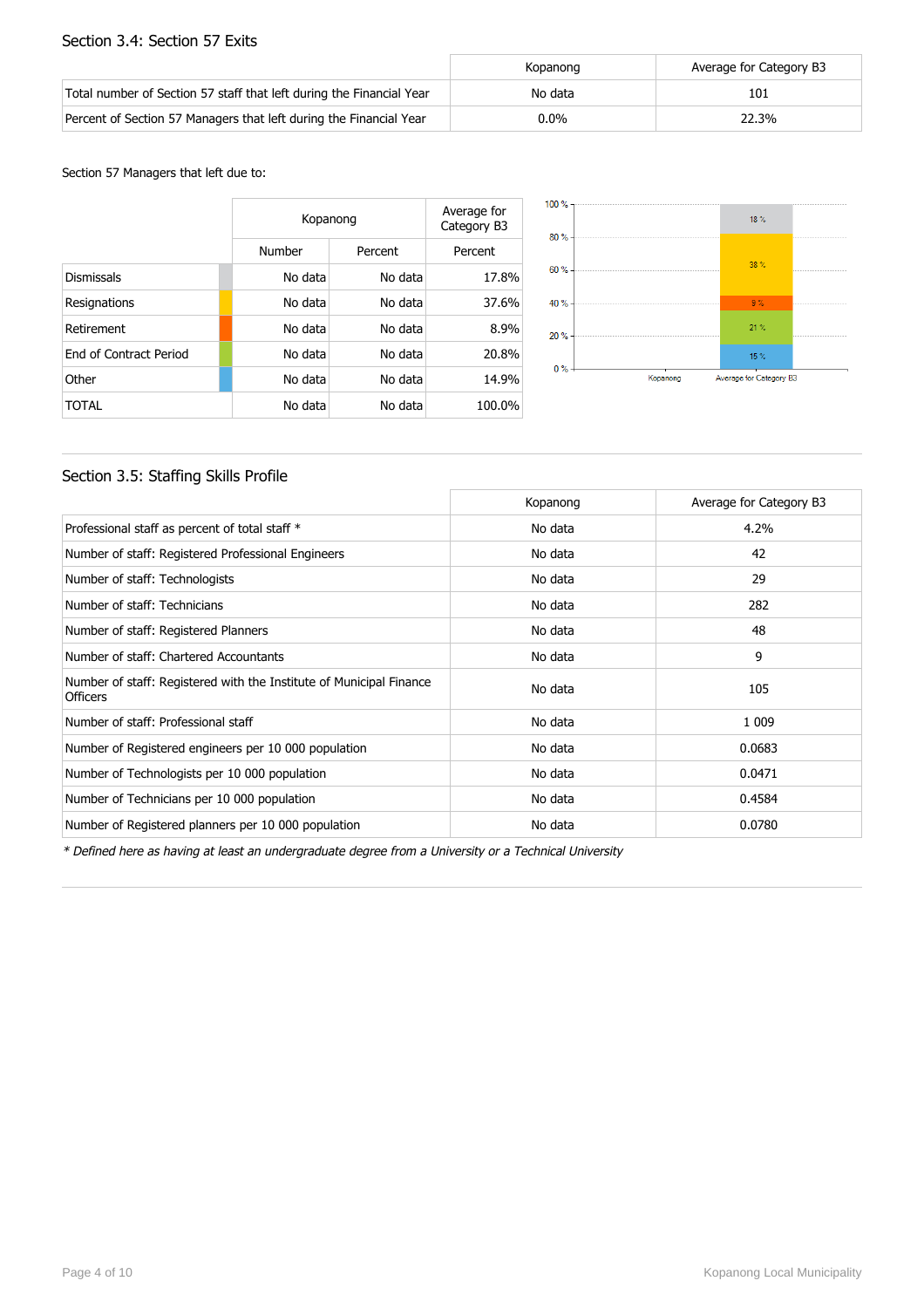#### Section 3.4: Section 57 Exits

|                                                                      | Kopanong | Average for Category B3 |
|----------------------------------------------------------------------|----------|-------------------------|
| Total number of Section 57 staff that left during the Financial Year | No data  | 101                     |
| Percent of Section 57 Managers that left during the Financial Year   | $0.0\%$  | 22.3%                   |

#### Section 57 Managers that left due to:

|                        | Kopanong | Average for<br>Category B3 |        |  |
|------------------------|----------|----------------------------|--------|--|
|                        | Number   | Percent                    |        |  |
| <b>Dismissals</b>      | No data  | No data                    | 17.8%  |  |
| Resignations           | No data  | No data                    | 37.6%  |  |
| Retirement             | No data  | No data                    | 8.9%   |  |
| End of Contract Period | No data  | No data                    | 20.8%  |  |
| Other                  | No data  | No data                    | 14.9%  |  |
| TOTAL                  | No data  | No data                    | 100.0% |  |



### Section 3.5: Staffing Skills Profile

|                                                                                        | Kopanong | Average for Category B3 |
|----------------------------------------------------------------------------------------|----------|-------------------------|
| Professional staff as percent of total staff *                                         | No data  | 4.2%                    |
| Number of staff: Registered Professional Engineers                                     | No data  | 42                      |
| Number of staff: Technologists                                                         | No data  | 29                      |
| Number of staff: Technicians                                                           | No data  | 282                     |
| Number of staff: Registered Planners                                                   | No data  | 48                      |
| Number of staff: Chartered Accountants                                                 | No data  | 9                       |
| Number of staff: Registered with the Institute of Municipal Finance<br><b>Officers</b> | No data  | 105                     |
| Number of staff: Professional staff                                                    | No data  | 1 0 0 9                 |
| Number of Registered engineers per 10 000 population                                   | No data  | 0.0683                  |
| Number of Technologists per 10 000 population                                          | No data  | 0.0471                  |
| Number of Technicians per 10 000 population                                            | No data  | 0.4584                  |
| Number of Registered planners per 10 000 population                                    | No data  | 0.0780                  |

\* Defined here as having at least an undergraduate degree from a University or a Technical University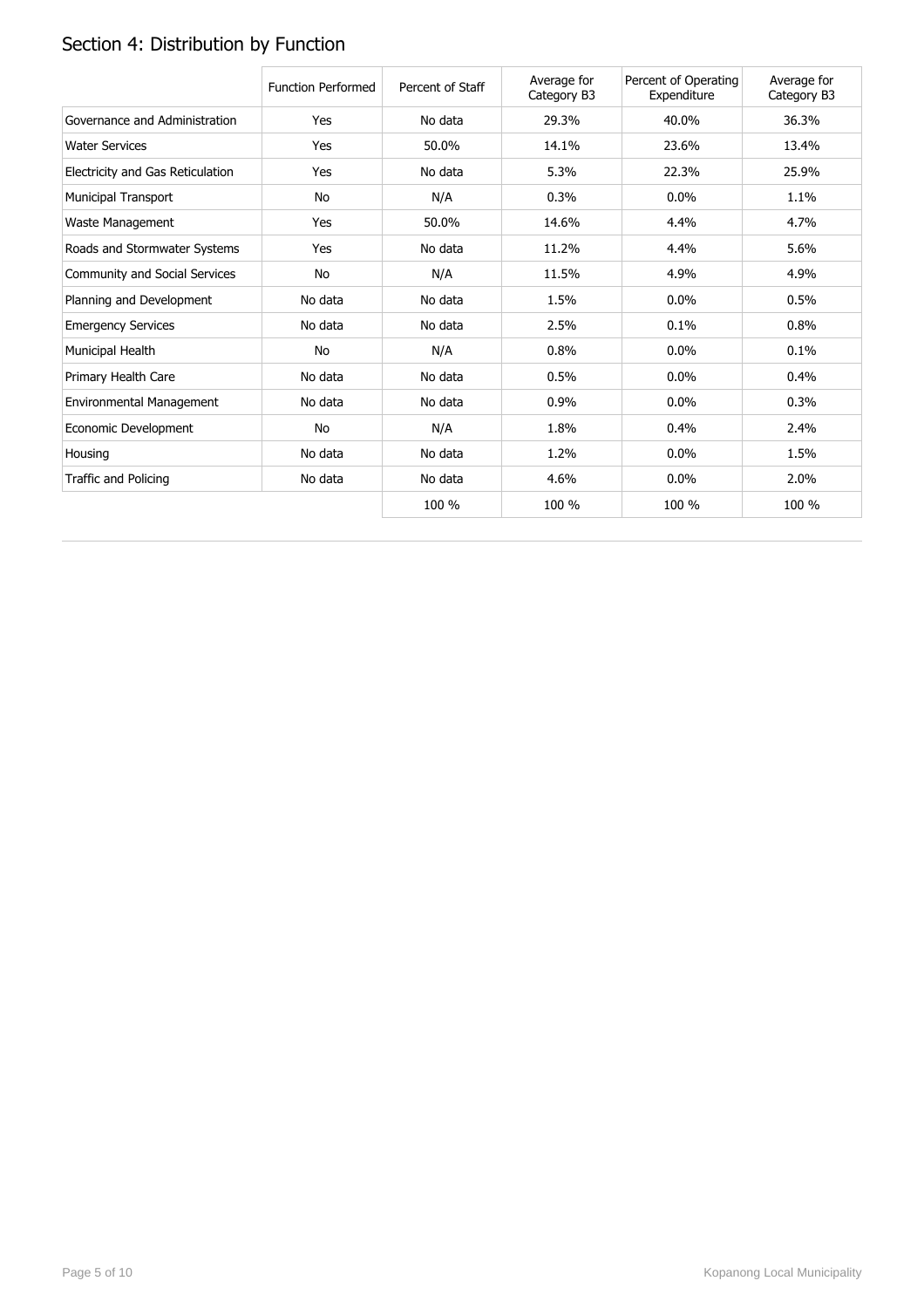# Section 4: Distribution by Function

|                                  | <b>Function Performed</b> | Percent of Staff | Average for<br>Category B3 | Percent of Operating<br>Expenditure | Average for<br>Category B3 |
|----------------------------------|---------------------------|------------------|----------------------------|-------------------------------------|----------------------------|
| Governance and Administration    | Yes                       | No data          | 29.3%                      | 40.0%                               | 36.3%                      |
| <b>Water Services</b>            | Yes                       | 50.0%            | 14.1%                      | 23.6%                               | 13.4%                      |
| Electricity and Gas Reticulation | Yes                       | No data          | 5.3%                       | 22.3%                               | 25.9%                      |
| <b>Municipal Transport</b>       | No                        | N/A              | 0.3%                       | $0.0\%$                             | 1.1%                       |
| Waste Management                 | Yes                       | 50.0%            | 14.6%                      | 4.4%                                | 4.7%                       |
| Roads and Stormwater Systems     | Yes                       | No data          | 11.2%                      | 4.4%                                | 5.6%                       |
| Community and Social Services    | No                        | N/A              | 11.5%                      | 4.9%                                | 4.9%                       |
| Planning and Development         | No data                   | No data          | 1.5%                       | 0.0%                                | 0.5%                       |
| <b>Emergency Services</b>        | No data                   | No data          | 2.5%                       | 0.1%                                | 0.8%                       |
| Municipal Health                 | <b>No</b>                 | N/A              | 0.8%                       | $0.0\%$                             | 0.1%                       |
| Primary Health Care              | No data                   | No data          | 0.5%                       | $0.0\%$                             | 0.4%                       |
| Environmental Management         | No data                   | No data          | 0.9%                       | $0.0\%$                             | 0.3%                       |
| Economic Development             | No                        | N/A              | 1.8%                       | 0.4%                                | 2.4%                       |
| Housing                          | No data                   | No data          | 1.2%                       | $0.0\%$                             | 1.5%                       |
| Traffic and Policing             | No data                   | No data          | 4.6%                       | 0.0%                                | 2.0%                       |
|                                  |                           | 100 %            | 100 %                      | 100 %                               | 100 %                      |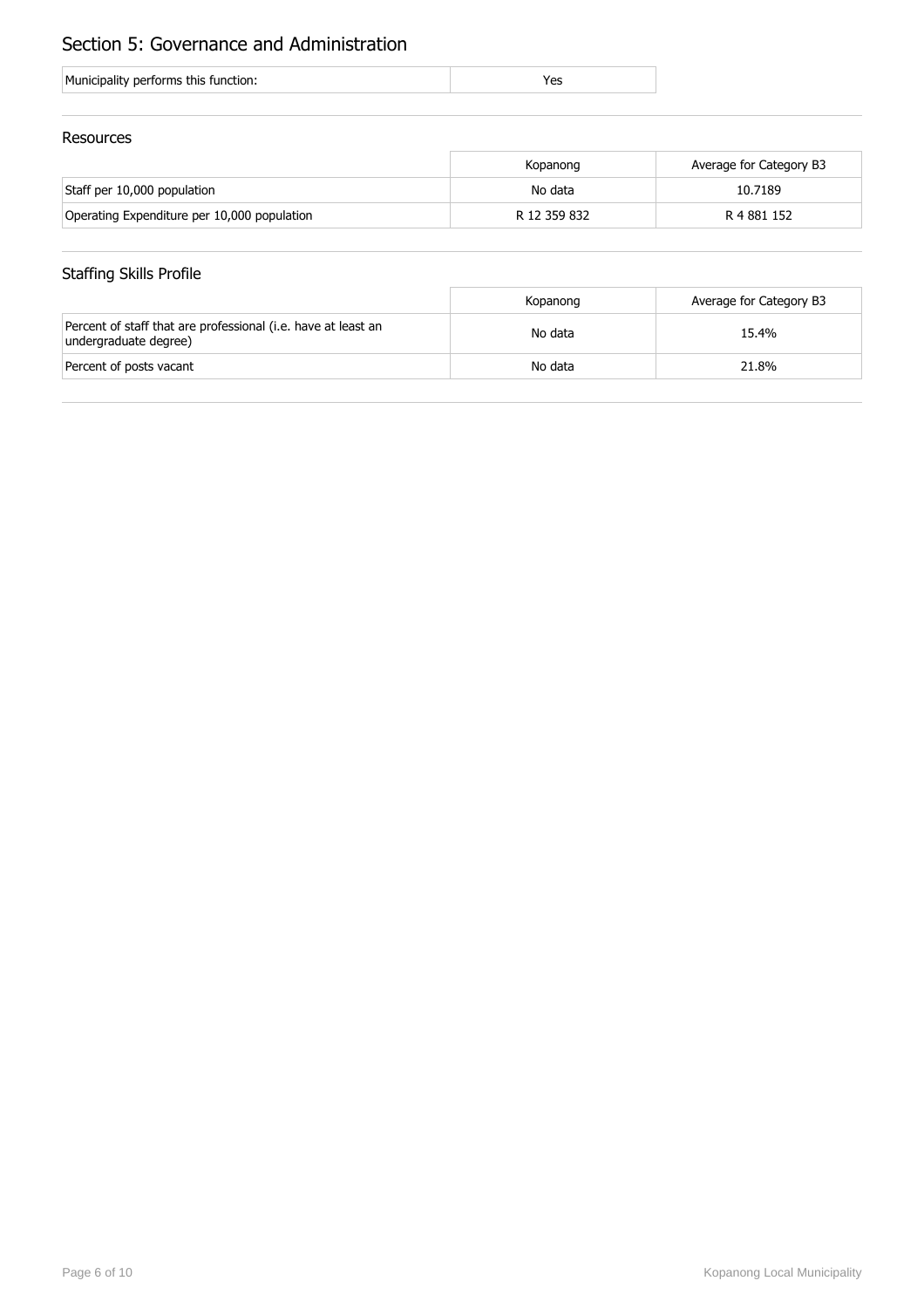## Section 5: Governance and Administration

| Municipality performs this function: |  |
|--------------------------------------|--|
|--------------------------------------|--|

### Resources

|                                             | Kopanong     | Average for Category B3 |
|---------------------------------------------|--------------|-------------------------|
| Staff per 10,000 population                 | No data      | 10.7189                 |
| Operating Expenditure per 10,000 population | R 12 359 832 | R 4 881 152             |

### Staffing Skills Profile

|                                                                                        | Kopanong | Average for Category B3 |
|----------------------------------------------------------------------------------------|----------|-------------------------|
| Percent of staff that are professional (i.e. have at least an<br>undergraduate degree) | No data  | 15.4%                   |
| Percent of posts vacant                                                                | No data  | 21.8%                   |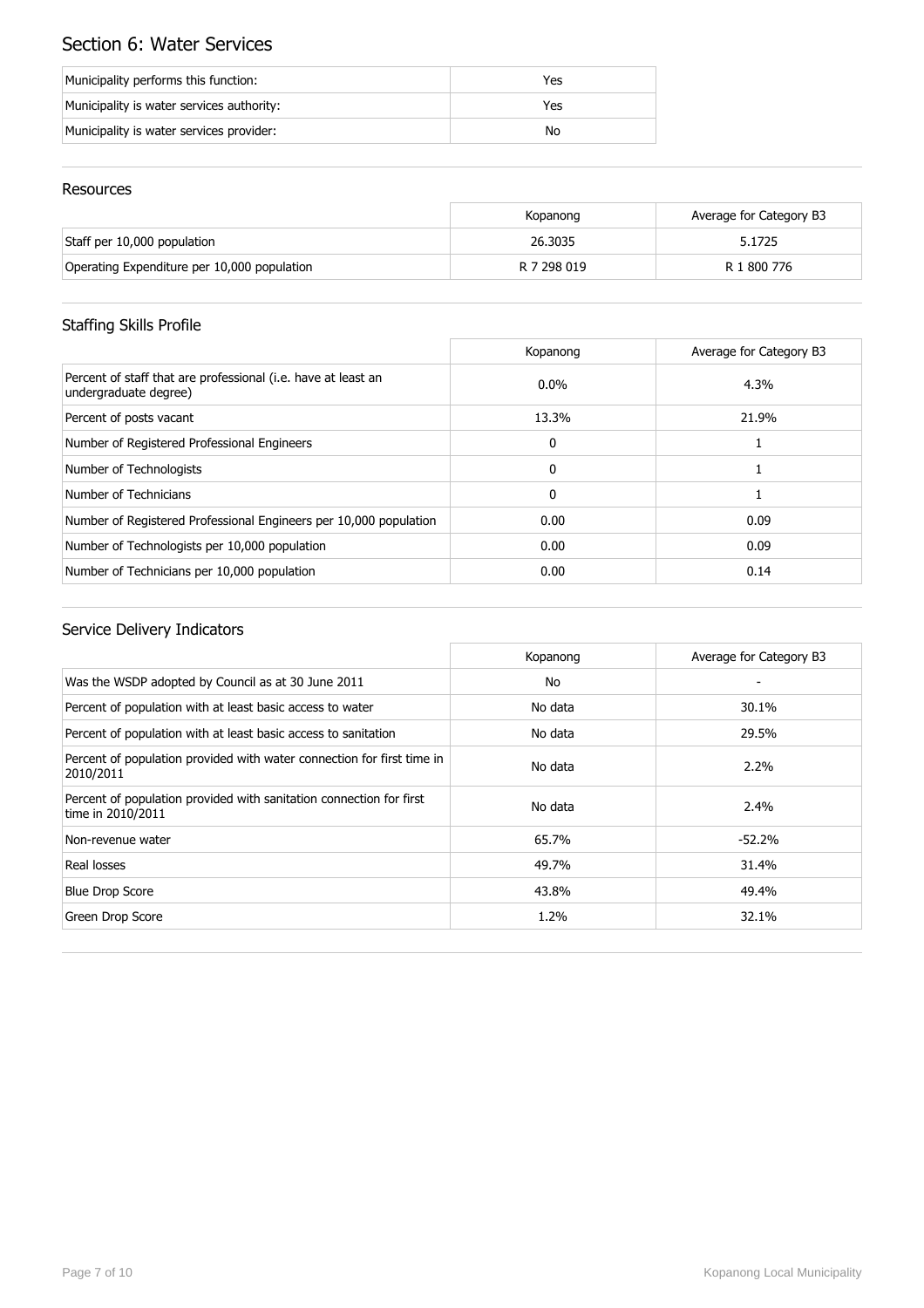## Section 6: Water Services

| Municipality performs this function:      | Yes |
|-------------------------------------------|-----|
| Municipality is water services authority: | Yes |
| Municipality is water services provider:  | No  |

### Resources

|                                             | Kopanong    | Average for Category B3 |
|---------------------------------------------|-------------|-------------------------|
| Staff per 10,000 population                 | 26.3035     | 5.1725                  |
| Operating Expenditure per 10,000 population | R 7 298 019 | R 1 800 776             |

### Staffing Skills Profile

|                                                                                        | Kopanong     | Average for Category B3 |
|----------------------------------------------------------------------------------------|--------------|-------------------------|
| Percent of staff that are professional (i.e. have at least an<br>undergraduate degree) | $0.0\%$      | 4.3%                    |
| Percent of posts vacant                                                                | 13.3%        | 21.9%                   |
| Number of Registered Professional Engineers                                            | $\mathbf{0}$ |                         |
| Number of Technologists                                                                | $\mathbf{0}$ |                         |
| Number of Technicians                                                                  | $\mathbf{0}$ |                         |
| Number of Registered Professional Engineers per 10,000 population                      | 0.00         | 0.09                    |
| Number of Technologists per 10,000 population                                          | 0.00         | 0.09                    |
| Number of Technicians per 10,000 population                                            | 0.00         | 0.14                    |

|                                                                                          | Kopanong | Average for Category B3 |
|------------------------------------------------------------------------------------------|----------|-------------------------|
| Was the WSDP adopted by Council as at 30 June 2011                                       | No       |                         |
| Percent of population with at least basic access to water                                | No data  | 30.1%                   |
| Percent of population with at least basic access to sanitation                           | No data  | 29.5%                   |
| Percent of population provided with water connection for first time in<br>2010/2011      | No data  | $2.2\%$                 |
| Percent of population provided with sanitation connection for first<br>time in 2010/2011 | No data  | 2.4%                    |
| Non-revenue water                                                                        | 65.7%    | $-52.2%$                |
| Real losses                                                                              | 49.7%    | 31.4%                   |
| <b>Blue Drop Score</b>                                                                   | 43.8%    | 49.4%                   |
| Green Drop Score                                                                         | 1.2%     | 32.1%                   |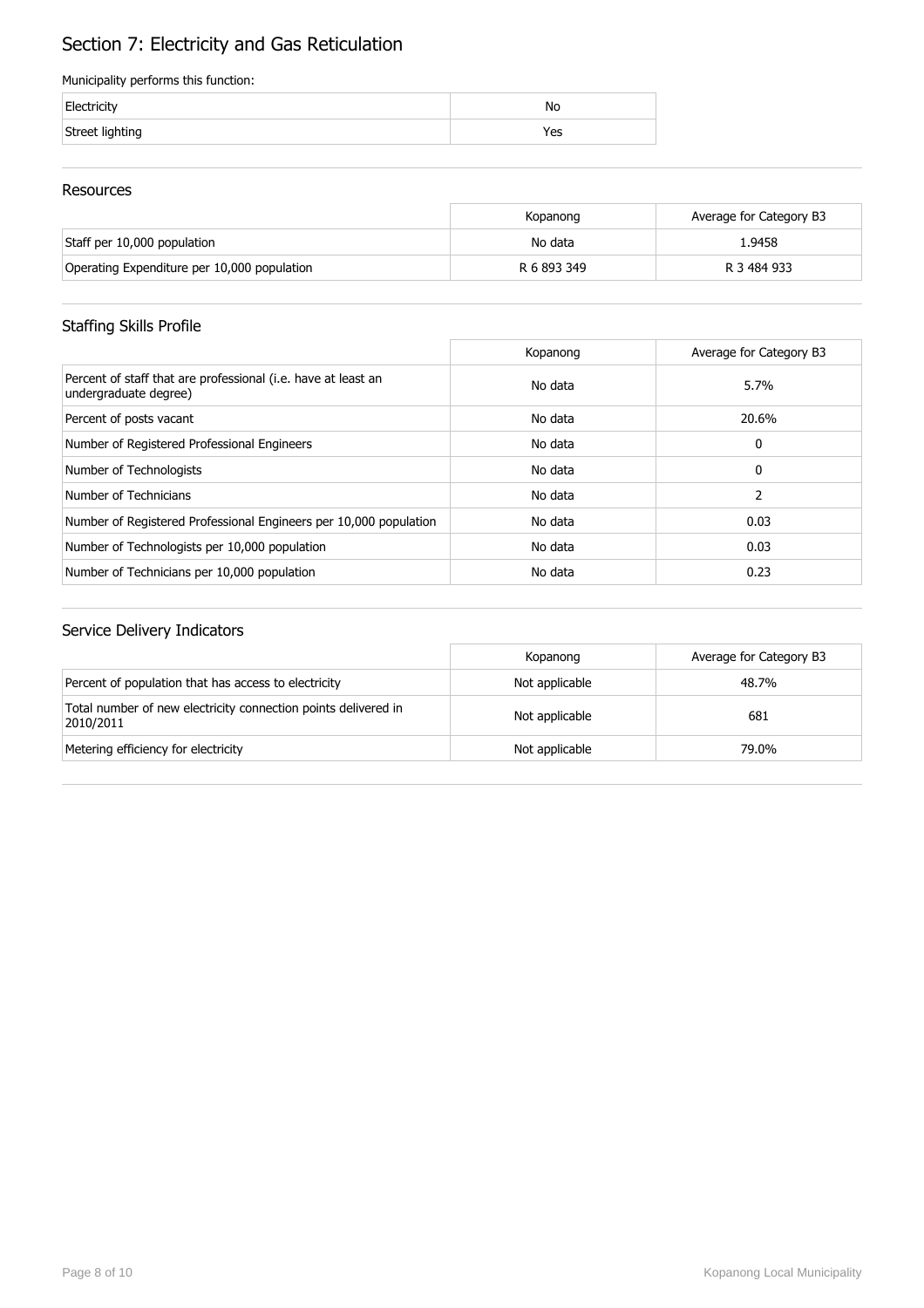# Section 7: Electricity and Gas Reticulation

#### Municipality performs this function:

| Electricity     | Nс  |
|-----------------|-----|
| Street lighting | 'es |

#### Resources

|                                             | Kopanong    | Average for Category B3 |
|---------------------------------------------|-------------|-------------------------|
| Staff per 10,000 population                 | No data     | 1.9458                  |
| Operating Expenditure per 10,000 population | R 6 893 349 | R 3 484 933             |

### Staffing Skills Profile

|                                                                                        | Kopanong | Average for Category B3 |
|----------------------------------------------------------------------------------------|----------|-------------------------|
| Percent of staff that are professional (i.e. have at least an<br>undergraduate degree) | No data  | 5.7%                    |
| Percent of posts vacant                                                                | No data  | 20.6%                   |
| Number of Registered Professional Engineers                                            | No data  | 0                       |
| Number of Technologists                                                                | No data  | 0                       |
| Number of Technicians                                                                  | No data  | 2                       |
| Number of Registered Professional Engineers per 10,000 population                      | No data  | 0.03                    |
| Number of Technologists per 10,000 population                                          | No data  | 0.03                    |
| Number of Technicians per 10,000 population                                            | No data  | 0.23                    |

|                                                                             | Kopanong       | Average for Category B3 |
|-----------------------------------------------------------------------------|----------------|-------------------------|
| Percent of population that has access to electricity                        | Not applicable | 48.7%                   |
| Total number of new electricity connection points delivered in<br>2010/2011 | Not applicable | 681                     |
| Metering efficiency for electricity                                         | Not applicable | 79.0%                   |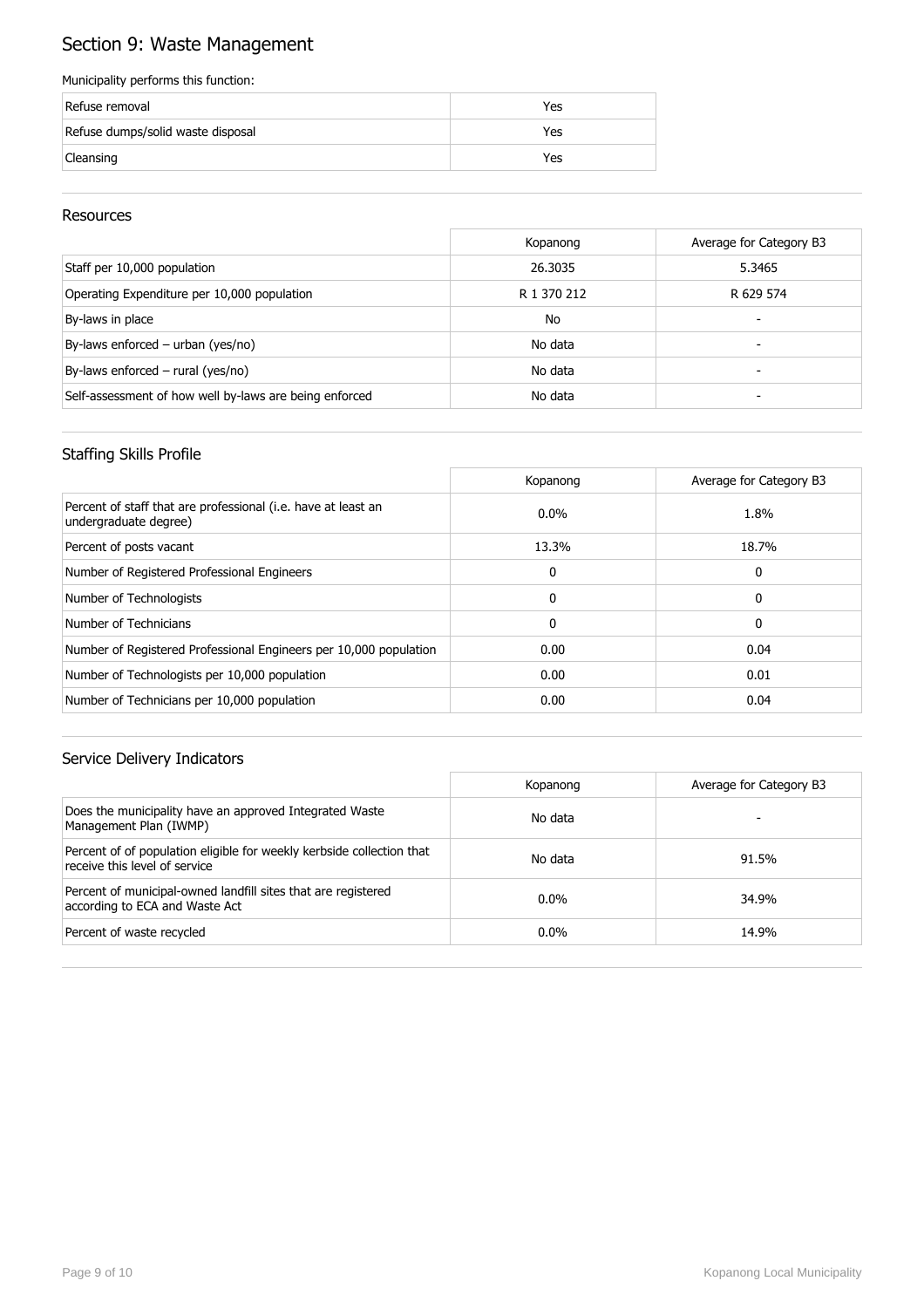## Section 9: Waste Management

#### Municipality performs this function:

| Refuse removal                    | Yes |
|-----------------------------------|-----|
| Refuse dumps/solid waste disposal | Yes |
| Cleansing                         | Yes |

#### Resources

|                                                        | Kopanong    | Average for Category B3 |
|--------------------------------------------------------|-------------|-------------------------|
| Staff per 10,000 population                            | 26.3035     | 5.3465                  |
| Operating Expenditure per 10,000 population            | R 1 370 212 | R 629 574               |
| By-laws in place                                       | No          |                         |
| By-laws enforced – urban (yes/no)                      | No data     |                         |
| By-laws enforced $-$ rural (yes/no)                    | No data     | -                       |
| Self-assessment of how well by-laws are being enforced | No data     |                         |

### Staffing Skills Profile

|                                                                                        | Kopanong     | Average for Category B3 |
|----------------------------------------------------------------------------------------|--------------|-------------------------|
| Percent of staff that are professional (i.e. have at least an<br>undergraduate degree) | $0.0\%$      | 1.8%                    |
| Percent of posts vacant                                                                | 13.3%        | 18.7%                   |
| Number of Registered Professional Engineers                                            | 0            | 0                       |
| Number of Technologists                                                                | $\Omega$     | 0                       |
| Number of Technicians                                                                  | $\mathbf{0}$ | 0                       |
| Number of Registered Professional Engineers per 10,000 population                      | 0.00         | 0.04                    |
| Number of Technologists per 10,000 population                                          | 0.00         | 0.01                    |
| Number of Technicians per 10,000 population                                            | 0.00         | 0.04                    |

|                                                                                                        | Kopanong | Average for Category B3 |
|--------------------------------------------------------------------------------------------------------|----------|-------------------------|
| Does the municipality have an approved Integrated Waste<br>Management Plan (IWMP)                      | No data  |                         |
| Percent of of population eligible for weekly kerbside collection that<br>receive this level of service | No data  | 91.5%                   |
| Percent of municipal-owned landfill sites that are registered<br>according to ECA and Waste Act        | $0.0\%$  | 34.9%                   |
| Percent of waste recycled                                                                              | $0.0\%$  | 14.9%                   |